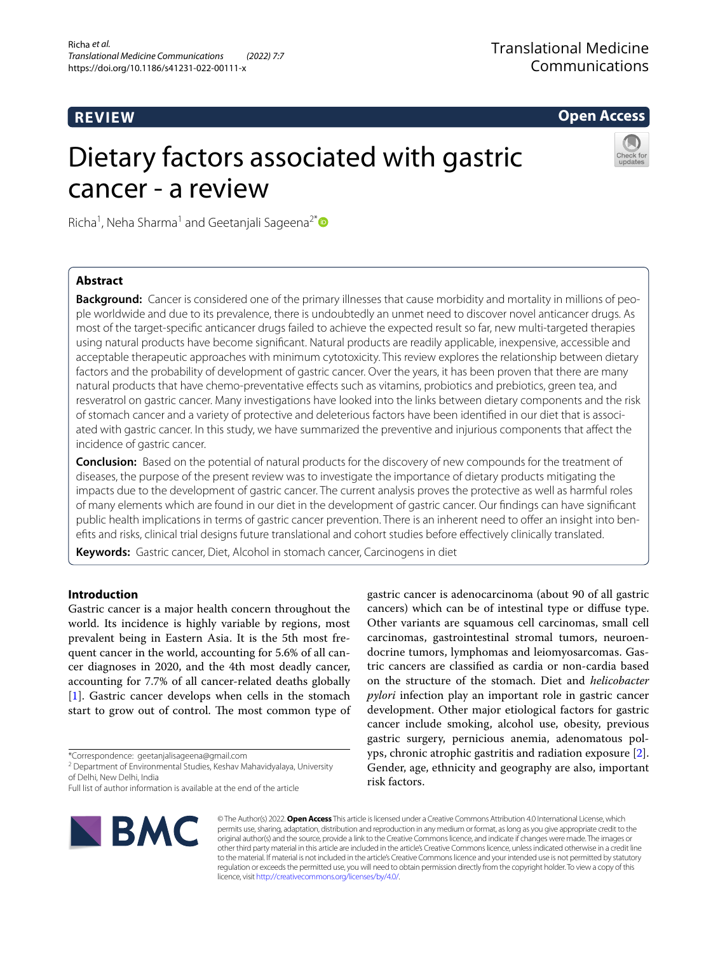# **REVIEW**

**Open Access**

# Dietary factors associated with gastric cancer - a review



Richa<sup>1</sup>, Neha Sharma<sup>1</sup> and Geetanjali Sageena<sup>2[\\*](http://orcid.org/0000-0001-7248-4356)</sup>

# **Abstract**

**Background:** Cancer is considered one of the primary illnesses that cause morbidity and mortality in millions of people worldwide and due to its prevalence, there is undoubtedly an unmet need to discover novel anticancer drugs. As most of the target-specifc anticancer drugs failed to achieve the expected result so far, new multi-targeted therapies using natural products have become signifcant. Natural products are readily applicable, inexpensive, accessible and acceptable therapeutic approaches with minimum cytotoxicity. This review explores the relationship between dietary factors and the probability of development of gastric cancer. Over the years, it has been proven that there are many natural products that have chemo-preventative efects such as vitamins, probiotics and prebiotics, green tea, and resveratrol on gastric cancer. Many investigations have looked into the links between dietary components and the risk of stomach cancer and a variety of protective and deleterious factors have been identifed in our diet that is associated with gastric cancer. In this study, we have summarized the preventive and injurious components that afect the incidence of gastric cancer.

**Conclusion:** Based on the potential of natural products for the discovery of new compounds for the treatment of diseases, the purpose of the present review was to investigate the importance of dietary products mitigating the impacts due to the development of gastric cancer. The current analysis proves the protective as well as harmful roles of many elements which are found in our diet in the development of gastric cancer. Our fndings can have signifcant public health implications in terms of gastric cancer prevention. There is an inherent need to offer an insight into benefts and risks, clinical trial designs future translational and cohort studies before efectively clinically translated.

**Keywords:** Gastric cancer, Diet, Alcohol in stomach cancer, Carcinogens in diet

# **Introduction**

Gastric cancer is a major health concern throughout the world. Its incidence is highly variable by regions, most prevalent being in Eastern Asia. It is the 5th most frequent cancer in the world, accounting for 5.6% of all cancer diagnoses in 2020, and the 4th most deadly cancer, accounting for 7.7% of all cancer-related deaths globally [[1\]](#page-8-0). Gastric cancer develops when cells in the stomach start to grow out of control. The most common type of

\*Correspondence: geetanjalisageena@gmail.com

**BMC** 

gastric cancer is adenocarcinoma (about 90 of all gastric cancers) which can be of intestinal type or difuse type. Other variants are squamous cell carcinomas, small cell carcinomas, gastrointestinal stromal tumors, neuroendocrine tumors, lymphomas and leiomyosarcomas. Gastric cancers are classifed as cardia or non-cardia based on the structure of the stomach. Diet and *helicobacter pylori* infection play an important role in gastric cancer development. Other major etiological factors for gastric cancer include smoking, alcohol use, obesity, previous gastric surgery, pernicious anemia, adenomatous polyps, chronic atrophic gastritis and radiation exposure [\[2](#page-8-1)]. Gender, age, ethnicity and geography are also, important risk factors.

© The Author(s) 2022. **Open Access** This article is licensed under a Creative Commons Attribution 4.0 International License, which permits use, sharing, adaptation, distribution and reproduction in any medium or format, as long as you give appropriate credit to the original author(s) and the source, provide a link to the Creative Commons licence, and indicate if changes were made. The images or other third party material in this article are included in the article's Creative Commons licence, unless indicated otherwise in a credit line to the material. If material is not included in the article's Creative Commons licence and your intended use is not permitted by statutory regulation or exceeds the permitted use, you will need to obtain permission directly from the copyright holder. To view a copy of this licence, visit [http://creativecommons.org/licenses/by/4.0/.](http://creativecommons.org/licenses/by/4.0/)

<sup>&</sup>lt;sup>2</sup> Department of Environmental Studies, Keshav Mahavidyalaya, University of Delhi, New Delhi, India

Full list of author information is available at the end of the article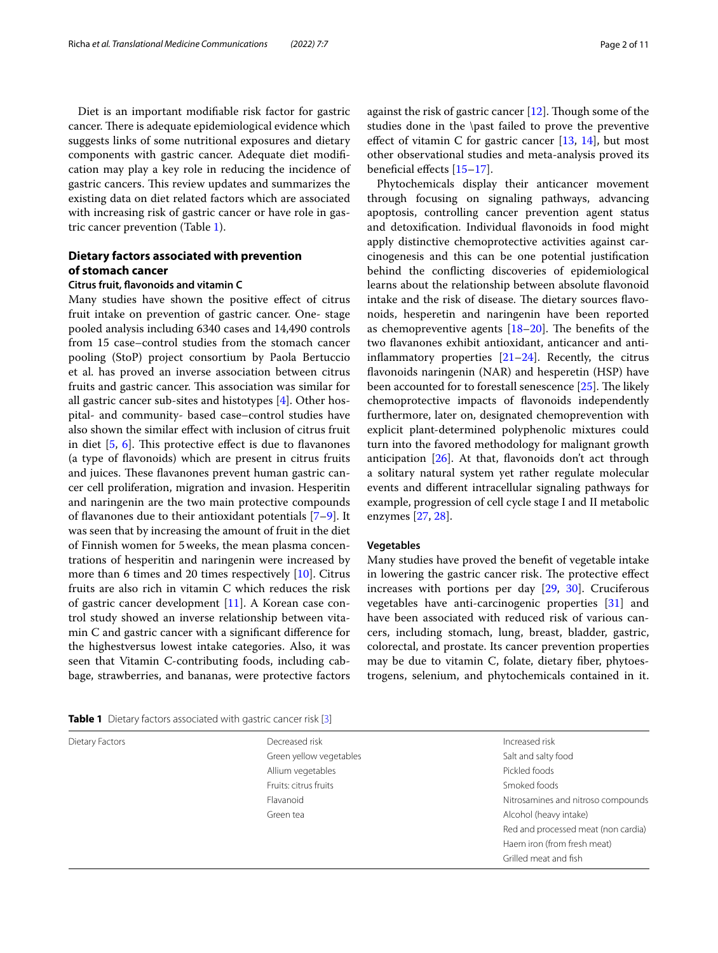Diet is an important modifable risk factor for gastric cancer. There is adequate epidemiological evidence which suggests links of some nutritional exposures and dietary components with gastric cancer. Adequate diet modifcation may play a key role in reducing the incidence of gastric cancers. This review updates and summarizes the existing data on diet related factors which are associated with increasing risk of gastric cancer or have role in gastric cancer prevention (Table [1](#page-1-0)).

# **Dietary factors associated with prevention of stomach cancer**

### **Citrus fruit, favonoids and vitamin C**

Many studies have shown the positive efect of citrus fruit intake on prevention of gastric cancer. One- stage pooled analysis including 6340 cases and 14,490 controls from 15 case–control studies from the stomach cancer pooling (StoP) project consortium by Paola Bertuccio et al. has proved an inverse association between citrus fruits and gastric cancer. This association was similar for all gastric cancer sub-sites and histotypes [\[4](#page-8-2)]. Other hospital- and community- based case–control studies have also shown the similar efect with inclusion of citrus fruit in diet  $[5, 6]$  $[5, 6]$  $[5, 6]$  $[5, 6]$  $[5, 6]$ . This protective effect is due to flavanones (a type of favonoids) which are present in citrus fruits and juices. These flavanones prevent human gastric cancer cell proliferation, migration and invasion. Hesperitin and naringenin are the two main protective compounds of favanones due to their antioxidant potentials [\[7](#page-9-2)[–9](#page-9-3)]. It was seen that by increasing the amount of fruit in the diet of Finnish women for 5weeks, the mean plasma concentrations of hesperitin and naringenin were increased by more than 6 times and 20 times respectively [[10\]](#page-9-4). Citrus fruits are also rich in vitamin C which reduces the risk of gastric cancer development [[11\]](#page-9-5). A Korean case control study showed an inverse relationship between vitamin C and gastric cancer with a signifcant diference for the highestversus lowest intake categories. Also, it was seen that Vitamin C-contributing foods, including cabbage, strawberries, and bananas, were protective factors

<span id="page-1-0"></span>

|  | Table 1 Dietary factors associated with gastric cancer risk [3] |  |
|--|-----------------------------------------------------------------|--|
|  |                                                                 |  |

against the risk of gastric cancer  $[12]$  $[12]$ . Though some of the studies done in the \past failed to prove the preventive effect of vitamin C for gastric cancer  $[13, 14]$  $[13, 14]$  $[13, 14]$  $[13, 14]$  $[13, 14]$ , but most other observational studies and meta-analysis proved its beneficial effects [15-[17\]](#page-9-10).

Phytochemicals display their anticancer movement through focusing on signaling pathways, advancing apoptosis, controlling cancer prevention agent status and detoxifcation. Individual favonoids in food might apply distinctive chemoprotective activities against carcinogenesis and this can be one potential justifcation behind the conficting discoveries of epidemiological learns about the relationship between absolute favonoid intake and the risk of disease. The dietary sources flavonoids, hesperetin and naringenin have been reported as chemopreventive agents  $[18–20]$  $[18–20]$ . The benefits of the two favanones exhibit antioxidant, anticancer and antiinflammatory properties  $[21-24]$  $[21-24]$ . Recently, the citrus favonoids naringenin (NAR) and hesperetin (HSP) have been accounted for to forestall senescence  $[25]$  $[25]$ . The likely chemoprotective impacts of favonoids independently furthermore, later on, designated chemoprevention with explicit plant-determined polyphenolic mixtures could turn into the favored methodology for malignant growth anticipation  $[26]$  $[26]$ . At that, flavonoids don't act through a solitary natural system yet rather regulate molecular events and diferent intracellular signaling pathways for example, progression of cell cycle stage I and II metabolic enzymes [[27,](#page-9-17) [28](#page-9-18)].

#### **Vegetables**

Many studies have proved the beneft of vegetable intake in lowering the gastric cancer risk. The protective effect increases with portions per day [\[29](#page-9-19), [30\]](#page-9-20). Cruciferous vegetables have anti-carcinogenic properties [[31\]](#page-9-21) and have been associated with reduced risk of various cancers, including stomach, lung, breast, bladder, gastric, colorectal, and prostate. Its cancer prevention properties may be due to vitamin C, folate, dietary fber, phytoestrogens, selenium, and phytochemicals contained in it.

| Dietary Factors | Decreased risk          | Increased risk                      |
|-----------------|-------------------------|-------------------------------------|
|                 | Green yellow vegetables | Salt and salty food                 |
|                 | Allium vegetables       | Pickled foods                       |
|                 | Fruits: citrus fruits   | Smoked foods                        |
|                 | Flavanoid               | Nitrosamines and nitroso compounds  |
|                 | Green tea               | Alcohol (heavy intake)              |
|                 |                         | Red and processed meat (non cardia) |
|                 |                         | Haem iron (from fresh meat)         |
|                 |                         | Grilled meat and fish               |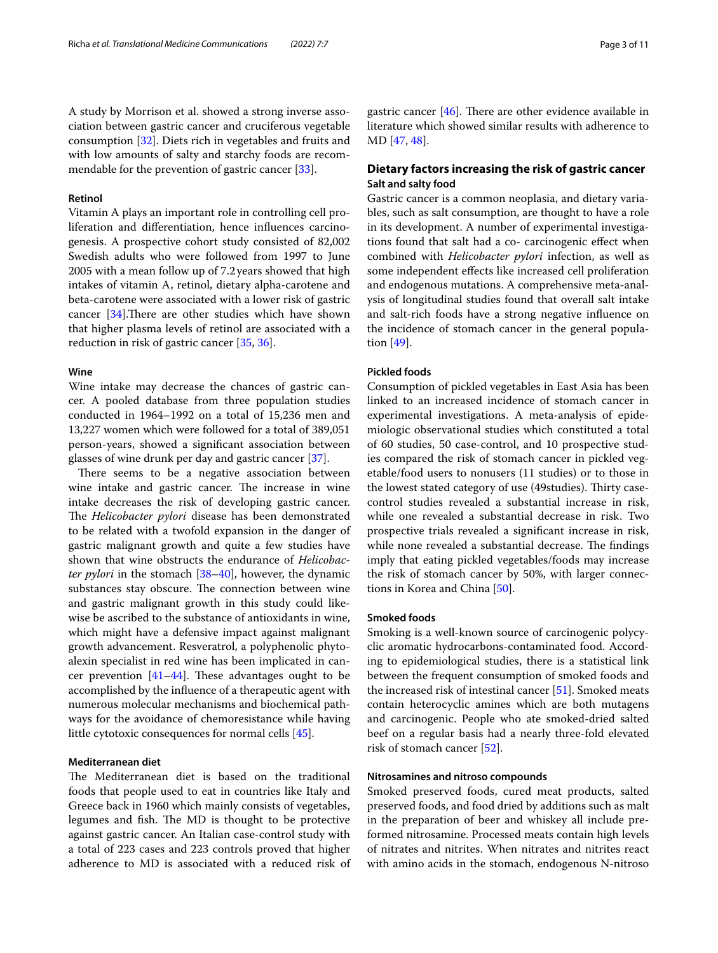A study by Morrison et al. showed a strong inverse association between gastric cancer and cruciferous vegetable consumption [[32](#page-9-22)]. Diets rich in vegetables and fruits and with low amounts of salty and starchy foods are recommendable for the prevention of gastric cancer [[33\]](#page-9-23).

## **Retinol**

Vitamin A plays an important role in controlling cell proliferation and diferentiation, hence infuences carcinogenesis. A prospective cohort study consisted of 82,002 Swedish adults who were followed from 1997 to June 2005 with a mean follow up of 7.2years showed that high intakes of vitamin A, retinol, dietary alpha-carotene and beta-carotene were associated with a lower risk of gastric cancer  $[34]$  $[34]$ . There are other studies which have shown that higher plasma levels of retinol are associated with a reduction in risk of gastric cancer [\[35](#page-9-25), [36](#page-9-26)].

#### **Wine**

Wine intake may decrease the chances of gastric cancer. A pooled database from three population studies conducted in 1964–1992 on a total of 15,236 men and 13,227 women which were followed for a total of 389,051 person-years, showed a signifcant association between glasses of wine drunk per day and gastric cancer [\[37](#page-9-27)].

There seems to be a negative association between wine intake and gastric cancer. The increase in wine intake decreases the risk of developing gastric cancer. The *Helicobacter pylori* disease has been demonstrated to be related with a twofold expansion in the danger of gastric malignant growth and quite a few studies have shown that wine obstructs the endurance of *Helicobacter pylori* in the stomach [[38–](#page-9-28)[40](#page-9-29)], however, the dynamic substances stay obscure. The connection between wine and gastric malignant growth in this study could likewise be ascribed to the substance of antioxidants in wine, which might have a defensive impact against malignant growth advancement. Resveratrol, a polyphenolic phytoalexin specialist in red wine has been implicated in cancer prevention  $[41-44]$  $[41-44]$ . These advantages ought to be accomplished by the infuence of a therapeutic agent with numerous molecular mechanisms and biochemical pathways for the avoidance of chemoresistance while having little cytotoxic consequences for normal cells [[45\]](#page-9-32).

# **Mediterranean diet**

The Mediterranean diet is based on the traditional foods that people used to eat in countries like Italy and Greece back in 1960 which mainly consists of vegetables, legumes and fish. The MD is thought to be protective against gastric cancer. An Italian case-control study with a total of 223 cases and 223 controls proved that higher adherence to MD is associated with a reduced risk of gastric cancer  $[46]$ . There are other evidence available in literature which showed similar results with adherence to MD [[47](#page-9-34), [48\]](#page-9-35).

# **Dietary factors increasing the risk of gastric cancer Salt and salty food**

Gastric cancer is a common neoplasia, and dietary variables, such as salt consumption, are thought to have a role in its development. A number of experimental investigations found that salt had a co- carcinogenic efect when combined with *Helicobacter pylori* infection, as well as some independent efects like increased cell proliferation and endogenous mutations. A comprehensive meta-analysis of longitudinal studies found that overall salt intake and salt-rich foods have a strong negative infuence on the incidence of stomach cancer in the general population [[49\]](#page-9-36).

#### **Pickled foods**

Consumption of pickled vegetables in East Asia has been linked to an increased incidence of stomach cancer in experimental investigations. A meta-analysis of epidemiologic observational studies which constituted a total of 60 studies, 50 case-control, and 10 prospective studies compared the risk of stomach cancer in pickled vegetable/food users to nonusers (11 studies) or to those in the lowest stated category of use (49 studies). Thirty casecontrol studies revealed a substantial increase in risk, while one revealed a substantial decrease in risk. Two prospective trials revealed a signifcant increase in risk, while none revealed a substantial decrease. The findings imply that eating pickled vegetables/foods may increase the risk of stomach cancer by 50%, with larger connections in Korea and China [\[50\]](#page-9-37).

# **Smoked foods**

Smoking is a well-known source of carcinogenic polycyclic aromatic hydrocarbons-contaminated food. According to epidemiological studies, there is a statistical link between the frequent consumption of smoked foods and the increased risk of intestinal cancer [\[51](#page-9-38)]. Smoked meats contain heterocyclic amines which are both mutagens and carcinogenic. People who ate smoked-dried salted beef on a regular basis had a nearly three-fold elevated risk of stomach cancer [[52\]](#page-10-0).

## **Nitrosamines and nitroso compounds**

Smoked preserved foods, cured meat products, salted preserved foods, and food dried by additions such as malt in the preparation of beer and whiskey all include preformed nitrosamine. Processed meats contain high levels of nitrates and nitrites. When nitrates and nitrites react with amino acids in the stomach, endogenous N-nitroso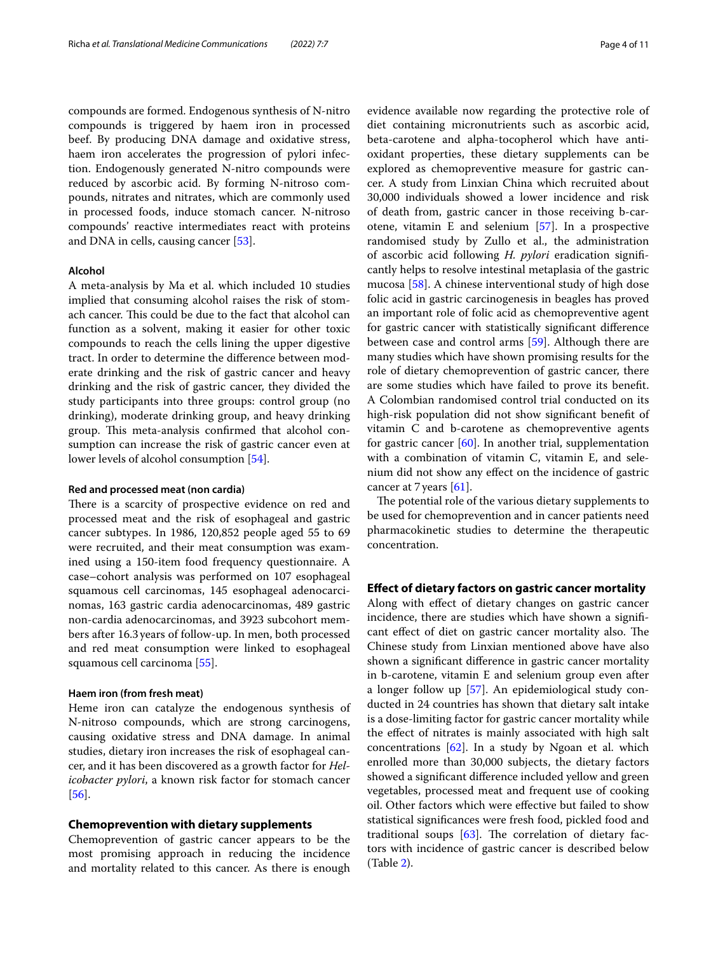compounds are formed. Endogenous synthesis of N-nitro compounds is triggered by haem iron in processed beef. By producing DNA damage and oxidative stress, haem iron accelerates the progression of pylori infection. Endogenously generated N-nitro compounds were reduced by ascorbic acid. By forming N-nitroso compounds, nitrates and nitrates, which are commonly used in processed foods, induce stomach cancer. N-nitroso compounds' reactive intermediates react with proteins and DNA in cells, causing cancer [[53\]](#page-10-1).

## **Alcohol**

A meta-analysis by Ma et al. which included 10 studies implied that consuming alcohol raises the risk of stomach cancer. This could be due to the fact that alcohol can function as a solvent, making it easier for other toxic compounds to reach the cells lining the upper digestive tract. In order to determine the diference between moderate drinking and the risk of gastric cancer and heavy drinking and the risk of gastric cancer, they divided the study participants into three groups: control group (no drinking), moderate drinking group, and heavy drinking group. This meta-analysis confirmed that alcohol consumption can increase the risk of gastric cancer even at lower levels of alcohol consumption [\[54](#page-10-2)].

#### **Red and processed meat (non cardia)**

There is a scarcity of prospective evidence on red and processed meat and the risk of esophageal and gastric cancer subtypes. In 1986, 120,852 people aged 55 to 69 were recruited, and their meat consumption was examined using a 150-item food frequency questionnaire. A case–cohort analysis was performed on 107 esophageal squamous cell carcinomas, 145 esophageal adenocarcinomas, 163 gastric cardia adenocarcinomas, 489 gastric non-cardia adenocarcinomas, and 3923 subcohort members after 16.3years of follow-up. In men, both processed and red meat consumption were linked to esophageal squamous cell carcinoma [\[55](#page-10-3)].

#### **Haem iron (from fresh meat)**

Heme iron can catalyze the endogenous synthesis of N-nitroso compounds, which are strong carcinogens, causing oxidative stress and DNA damage. In animal studies, dietary iron increases the risk of esophageal cancer, and it has been discovered as a growth factor for *Helicobacter pylori*, a known risk factor for stomach cancer [[56\]](#page-10-4).

#### **Chemoprevention with dietary supplements**

Chemoprevention of gastric cancer appears to be the most promising approach in reducing the incidence and mortality related to this cancer. As there is enough evidence available now regarding the protective role of diet containing micronutrients such as ascorbic acid, beta-carotene and alpha-tocopherol which have antioxidant properties, these dietary supplements can be explored as chemopreventive measure for gastric cancer. A study from Linxian China which recruited about 30,000 individuals showed a lower incidence and risk of death from, gastric cancer in those receiving b-carotene, vitamin E and selenium [\[57](#page-10-5)]. In a prospective randomised study by Zullo et al., the administration of ascorbic acid following *H. pylori* eradication signifcantly helps to resolve intestinal metaplasia of the gastric mucosa [[58\]](#page-10-6). A chinese interventional study of high dose folic acid in gastric carcinogenesis in beagles has proved an important role of folic acid as chemopreventive agent for gastric cancer with statistically signifcant diference between case and control arms [\[59\]](#page-10-7). Although there are many studies which have shown promising results for the role of dietary chemoprevention of gastric cancer, there are some studies which have failed to prove its beneft. A Colombian randomised control trial conducted on its high-risk population did not show signifcant beneft of vitamin C and b-carotene as chemopreventive agents for gastric cancer  $[60]$  $[60]$ . In another trial, supplementation with a combination of vitamin C, vitamin E, and selenium did not show any efect on the incidence of gastric cancer at 7years [[61](#page-10-9)].

The potential role of the various dietary supplements to be used for chemoprevention and in cancer patients need pharmacokinetic studies to determine the therapeutic concentration.

#### **Efect of dietary factors on gastric cancer mortality**

Along with efect of dietary changes on gastric cancer incidence, there are studies which have shown a signifcant effect of diet on gastric cancer mortality also. The Chinese study from Linxian mentioned above have also shown a signifcant diference in gastric cancer mortality in b-carotene, vitamin E and selenium group even after a longer follow up [[57\]](#page-10-5). An epidemiological study conducted in 24 countries has shown that dietary salt intake is a dose-limiting factor for gastric cancer mortality while the efect of nitrates is mainly associated with high salt concentrations [\[62](#page-10-10)]. In a study by Ngoan et al. which enrolled more than 30,000 subjects, the dietary factors showed a signifcant diference included yellow and green vegetables, processed meat and frequent use of cooking oil. Other factors which were efective but failed to show statistical signifcances were fresh food, pickled food and traditional soups  $[63]$  $[63]$ . The correlation of dietary factors with incidence of gastric cancer is described below (Table [2\)](#page-4-0).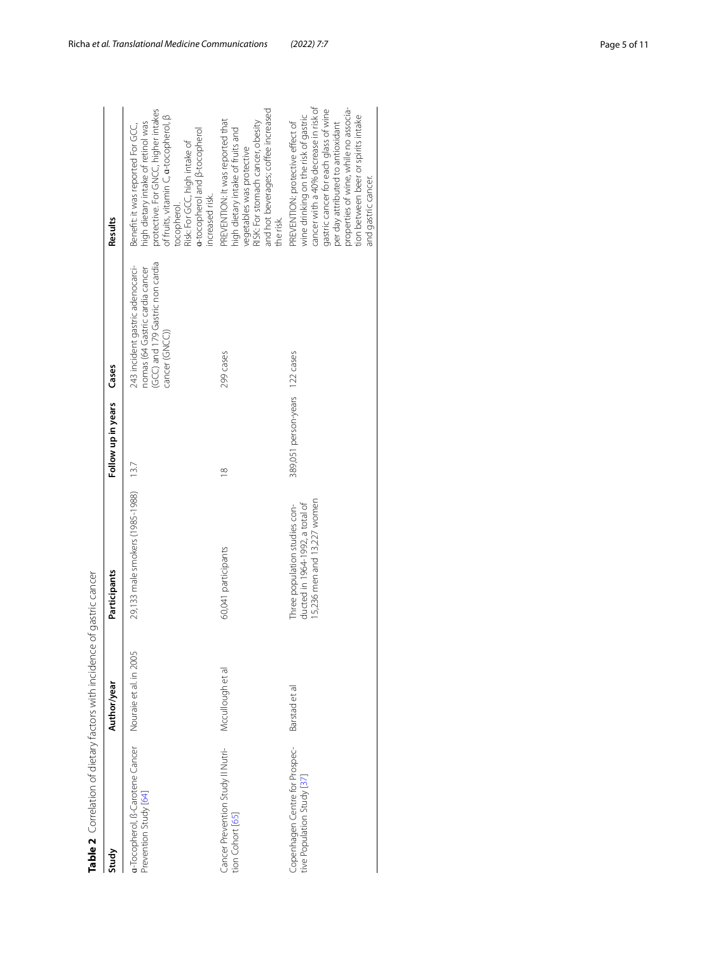| Table 2 Correlation of dietary factors with incidence of gastric cancer |                        |                                                                                                 |                                |                                                                                                                          |                                                                                                                                                                                                                                                                                                        |
|-------------------------------------------------------------------------|------------------------|-------------------------------------------------------------------------------------------------|--------------------------------|--------------------------------------------------------------------------------------------------------------------------|--------------------------------------------------------------------------------------------------------------------------------------------------------------------------------------------------------------------------------------------------------------------------------------------------------|
| Study                                                                   | Author/year            | Participants                                                                                    | Follow up in years             | Cases                                                                                                                    | Results                                                                                                                                                                                                                                                                                                |
| a-Tocopherol, B-Carotene Cancer<br>Prevention Study [64]                | Nouraie et al. in 2005 | 29,133 male smokers (1985-1988)                                                                 | 13.7                           | (GCC) and 179 Gastric non cardia<br>243 incident gastric adenocarci-<br>nomas (64 Gastric cardia cancer<br>cancer (GNCC) | protective. For GNCC, higher intakes<br>of fruits, vitamin C, <b>a-</b> tocopherol, β<br>high dietary intake of retinol was<br>Benefit: it was reported For GCC,<br>a-tocopherol and <b>B-tocopherol</b><br>Risk: For GCC, high intake of<br>increased risk.<br>coopherol.                             |
| Cancer Prevention Study II Nutri-<br>tion Cohort [65]                   | Mccullough et al       | 60,041 participants                                                                             | $\infty$                       | 299 cases                                                                                                                | and hot beverages; coffee increased<br>PREVENTION: It was reported that<br>RISK: For stomach cancer, obesity<br>high dietary intake of fruits and<br>vegetables was protective<br>the risk.                                                                                                            |
| Copenhagen Centre for Prospec-<br>tive Population Study [37]            | Barstad et al          | 15,236 men and 13,227 women<br>ducted in 1964-1992, a total of<br>Three population studies con- | 389,051 person-years 122 cases |                                                                                                                          | cancer with a 40% decrease in risk of<br>properties of wine, while no associa-<br>gastric cancer for each glass of wine<br>wine drinking on the risk of gastric<br>tion between beer or spirits intake<br>PREVENTION: protective effect of<br>per day attributed to antioxidant<br>and gastric cancer. |

<span id="page-4-0"></span>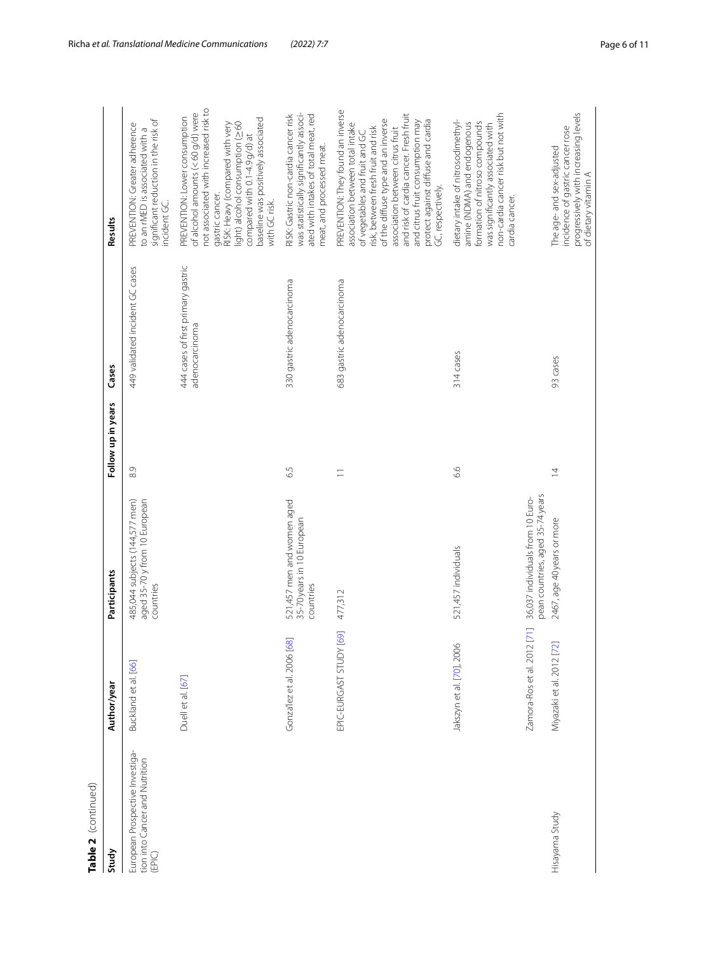| Table 2 (continued)                                                         |                                                               |                                                                                                    |                    |                                                      |                                                                                                                                                                                                                                                                                                                                                                  |
|-----------------------------------------------------------------------------|---------------------------------------------------------------|----------------------------------------------------------------------------------------------------|--------------------|------------------------------------------------------|------------------------------------------------------------------------------------------------------------------------------------------------------------------------------------------------------------------------------------------------------------------------------------------------------------------------------------------------------------------|
| Study                                                                       | Author/year                                                   | Participants                                                                                       | Follow up in years | Cases                                                | Results                                                                                                                                                                                                                                                                                                                                                          |
| European Prospective Investiga-<br>tion into Cancer and Nutrition<br>(EPIC) | Buckland et al. [66]                                          | 485,044 subjects (144,577 men)<br>aged 35-70 y from 10 European<br>countries                       | 8.9                | 449 validated incident GC cases                      | significant reduction in the risk of<br>PREVENTION: Greater adherence<br>to an rMED is associated with a<br>incident GC.                                                                                                                                                                                                                                         |
|                                                                             | Duell et al. [67]                                             |                                                                                                    |                    | 444 cases of first primary gastric<br>adenocarcinoma | not associated with increased risk to<br>of alcohol amounts (< 60 g/d) were<br>PREVENTION: Lower consumption<br>baseline was positively associated<br>light) alcohol consumption (260<br>RISK: Heavy (compared with very<br>compared with 0.1-4.9 g/d) at<br>gastric cancer.<br>with GC risk.                                                                    |
|                                                                             | Gonza'lez et al. 2006 [68]                                    | 521,457 men and women aged<br>35-70 years in 10 European<br>countries                              | 6.5                | 330 gastric adenocarcinoma                           | was statistically significantly associ-<br>ated with intakes of total meat, red<br>RISK: Gastric non-cardia cancer risk<br>meat, and processed meat.                                                                                                                                                                                                             |
|                                                                             | EPIC-EURGAST STUDY [69]                                       | 477,312                                                                                            | $\equiv$           | 683 gastric adenocarcinoma                           | PREVENTION: They found an inverse<br>and risk of cardia cancer. Fresh fruit<br>protect against diffuse and cardia<br>of the diffuse type and an inverse<br>and citrus fruit consumption may<br>association between total intake<br>risk, between fresh fruit and risk<br>association between citrus fruit<br>of vegetables and fruit and GC<br>GC, respectively. |
|                                                                             | Jakszyn et al. [70], 2006                                     | 521,457 individuals                                                                                | 6.6                | 314 cases                                            | non-cardia cancer risk but not with<br>dietary intake of nitrosodimethyl-<br>formation of nitroso compounds<br>amine (NDMA) and endogenous<br>was significantly associated with<br>cardia cancer.                                                                                                                                                                |
| Hisayama Study                                                              | $[71]$<br>Zamora-Ros et al. 2012<br>Miyazaki et al. 2012 [72] | pean countries, aged 35-74 years<br>36,037 individuals from 10 Euro-<br>2467, age 40 years or more | $\overline{4}$     | 93 cases                                             | progressively with increasing levels<br>incidence of gastric cancer rose<br>The age- and sex-adjusted<br>of dietary vitamin A                                                                                                                                                                                                                                    |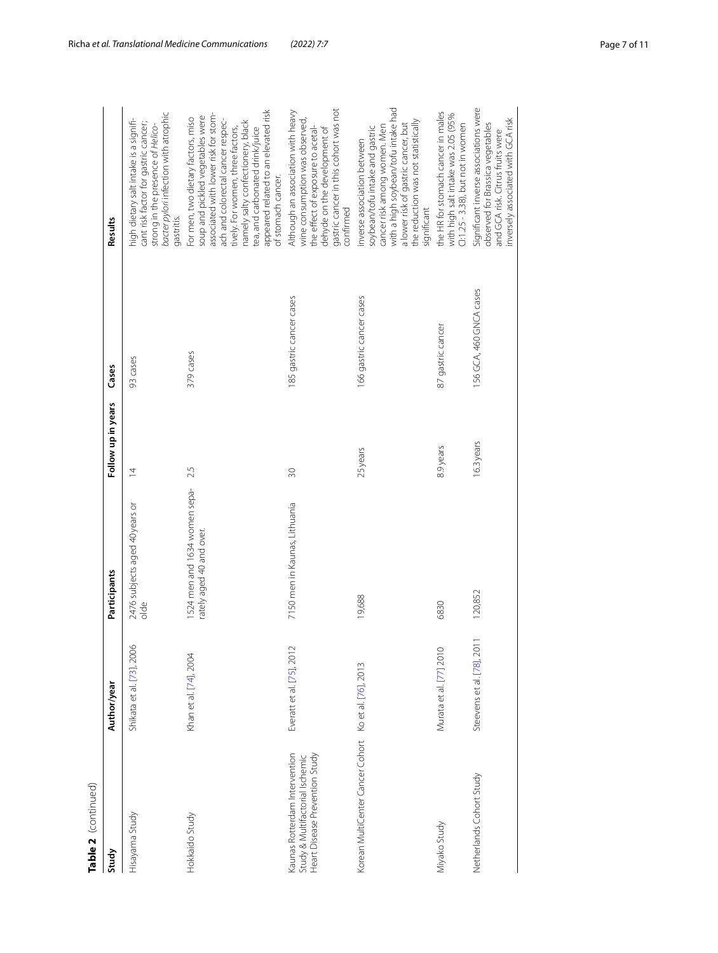| Table 2 (continued)                                                                                |                            |                                                           |                    |                          |                                                                                                                                                                                                                                                                                                                                |
|----------------------------------------------------------------------------------------------------|----------------------------|-----------------------------------------------------------|--------------------|--------------------------|--------------------------------------------------------------------------------------------------------------------------------------------------------------------------------------------------------------------------------------------------------------------------------------------------------------------------------|
| Study                                                                                              | Author/year                | Participants                                              | Follow up in years | Cases                    | Results                                                                                                                                                                                                                                                                                                                        |
| Hisayama Study                                                                                     | Shikata et al. [73], 2006  | 2476 subjects aged 40 years or<br>$rac{1}{\alpha}$        | $\overline{4}$     | 93 cases                 | bacter pylori infection with atrophic<br>high dietary salt intake is a signifi-<br>cant risk factor for gastric cancer;<br>strong in the presence of Helico-<br>gastritis.                                                                                                                                                     |
| Hokkaido Study                                                                                     | Khan et al. [74], 2004     | 1524 men and 1634 women sepa-<br>rately aged 40 and over. | 2.5                | 379 cases                | appeared related to an elevated risk<br>associated with lower risk for stom-<br>soup and pickled vegetables were<br>For men, two dietary factors, miso<br>ach and colorectal cancer respec-<br>namely salty confectionery, black<br>tively. For women, three factors,<br>tea, and carbonated drink/juice<br>of stomach cancer. |
| Kaunas Rotterdam Intervention<br>Heart Disease Prevention Study<br>Study & Multifactorial Ischemic | Everatt et al. [75], 2012  | 7150 men in Kaunas, Lithuania                             | 30                 | 185 gastric cancer cases | gastric cancer in this cohort was not<br>Although an association with heavy<br>wine consumption was observed,<br>the effect of exposure to acetal-<br>dehyde on the development of<br>confirmed                                                                                                                                |
| Korean MultiCenter Cancer Cohort Ko et al. [76], 2013                                              |                            | 19,688                                                    | 25 years           | 166 gastric cancer cases | with a high soybean/tofu intake had<br>the reduction was not statistically<br>a lower risk of gastric cancer, but<br>cancer risk among women. Men<br>soybean/tofu intake and gastric<br>inverse association between<br>significant                                                                                             |
| Miyako Study                                                                                       | Murata et al. [77] 2010    | 6830                                                      | 8.9 years          | 87 gastric cancer        | the HR for stomach cancer in males<br>with high salt intake was 2.05 (95%<br>Cl:1.25 - 3.38), but not in women                                                                                                                                                                                                                 |
| Netherlands Cohort Study                                                                           | Steevens et al. [78], 2011 | 120,852                                                   | 16.3 years         | 156 GCA, 460 GNCA cases  | Significant inverse associations were<br>nversely associated with GCA risk<br>observed for Brassica vegetables<br>and GCA risk. Citrus fruits were                                                                                                                                                                             |

|   | ٠ |
|---|---|
|   | ì |
|   |   |
|   |   |
|   |   |
|   |   |
|   |   |
|   |   |
|   |   |
|   |   |
|   |   |
|   |   |
|   |   |
|   |   |
|   |   |
|   |   |
|   |   |
|   |   |
|   |   |
| c |   |
|   |   |
|   |   |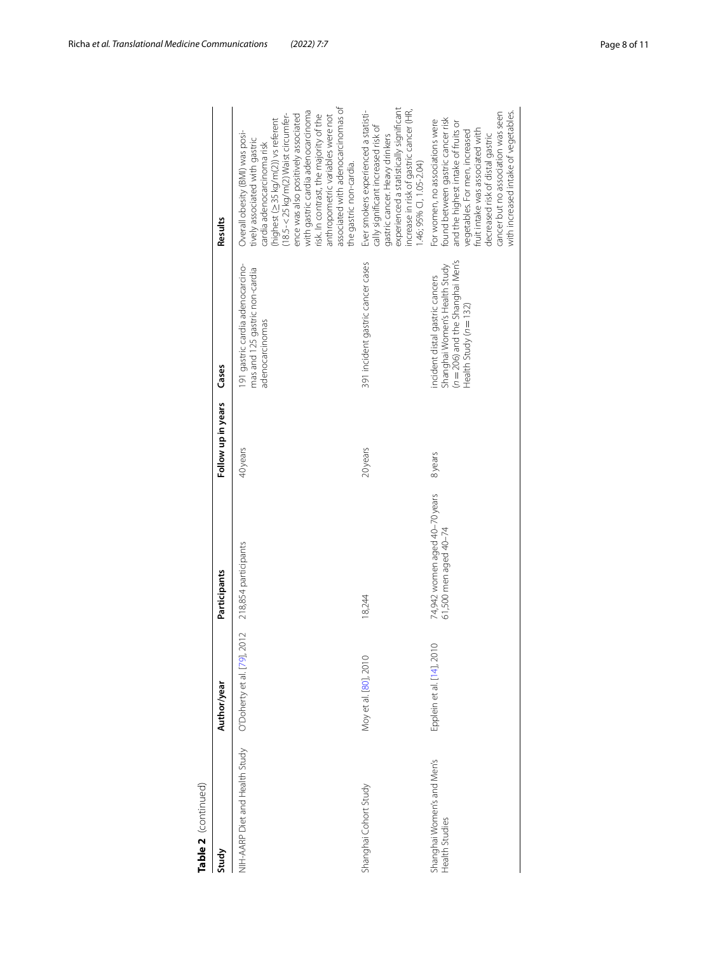| Table 2 (continued)                          |                             |                                                        |                    |                                                                                                                                      |                                                                                                                                                                                                                                                                                                                                                                                                           |
|----------------------------------------------|-----------------------------|--------------------------------------------------------|--------------------|--------------------------------------------------------------------------------------------------------------------------------------|-----------------------------------------------------------------------------------------------------------------------------------------------------------------------------------------------------------------------------------------------------------------------------------------------------------------------------------------------------------------------------------------------------------|
| Study                                        | Author/year                 | Participants                                           | Follow up in years | Cases                                                                                                                                | Results                                                                                                                                                                                                                                                                                                                                                                                                   |
| NIH-AARP Diet and Health Study               | O'Doherty et al. [79], 2012 | 218,854 participants                                   | 40 years           | 191 gastric cardia adenocarcino-<br>mas and 125 gastric non-cardia<br>adenocarcinomas                                                | associated with adenocarcinomas of<br>with gastric cardia adenocarcinoma<br>:highest (≥35 kg/m(2)) vs referent<br>18.5- < 25 kg/m(2) Waist circumfer-<br>ence was also positively associated<br>risk. In contrast, the majority of the<br>anthropometric variables were not<br>Overall obesity (BMI) was posi-<br>tively associated with gastric<br>cardia adenocarcinoma risk<br>the gastric non-cardia. |
| Shanghai Cohort Study                        | Moy et al. [80], 2010       | 18,244                                                 | 20years            | 391 incident gastric cancer cases                                                                                                    | experienced a statistically significant<br>increase in risk of gastric cancer (HR,<br>Ever smokers experienced a statisti-<br>cally significant increased risk of<br>gastric cancer. Heavy drinkers<br>1.46; 95% CI, 1.05-2.04)                                                                                                                                                                           |
| Shanghai Women's and Men's<br>Health Studies | Epplein et al. [14], 2010   | 74,942 women aged 40-70 years<br>61,500 men aged 40–74 | 8 years            | $(n = 206)$ and the Shanghai Men's<br>Shanghai Women's Health Study<br>incident distal gastric cancers<br>Health Study ( $n = 132$ ) | with increased intake of vegetables.<br>cancer but no association was seen<br>found between gastric cancer risk<br>For women, no associations were<br>and the highest intake of fruits or<br>fruit intake was associated with<br>vegetables. For men, increased<br>decreased risk of distal gastric                                                                                                       |
|                                              |                             |                                                        |                    |                                                                                                                                      |                                                                                                                                                                                                                                                                                                                                                                                                           |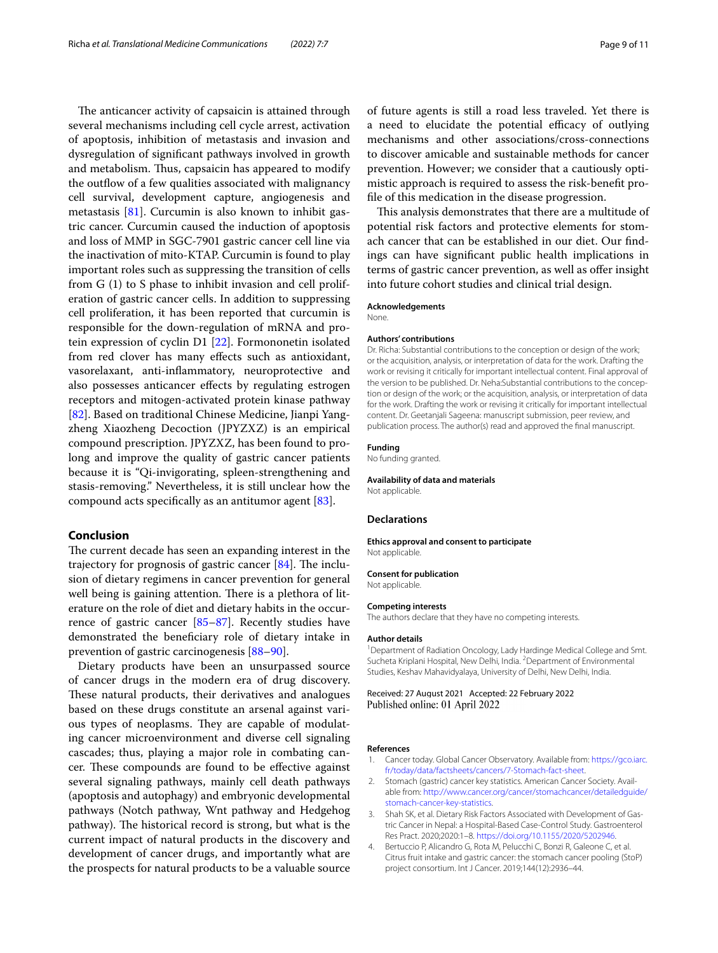The anticancer activity of capsaicin is attained through several mechanisms including cell cycle arrest, activation of apoptosis, inhibition of metastasis and invasion and dysregulation of signifcant pathways involved in growth and metabolism. Thus, capsaicin has appeared to modify the outflow of a few qualities associated with malignancy cell survival, development capture, angiogenesis and metastasis [[81\]](#page-10-29). Curcumin is also known to inhibit gastric cancer. Curcumin caused the induction of apoptosis and loss of MMP in SGC-7901 gastric cancer cell line via the inactivation of mito-KTAP. Curcumin is found to play important roles such as suppressing the transition of cells from G (1) to S phase to inhibit invasion and cell proliferation of gastric cancer cells. In addition to suppressing cell proliferation, it has been reported that curcumin is responsible for the down-regulation of mRNA and protein expression of cyclin D1 [\[22](#page-9-39)]. Formononetin isolated from red clover has many efects such as antioxidant, vasorelaxant, anti-infammatory, neuroprotective and also possesses anticancer efects by regulating estrogen receptors and mitogen-activated protein kinase pathway [[82\]](#page-10-30). Based on traditional Chinese Medicine, Jianpi Yangzheng Xiaozheng Decoction (JPYZXZ) is an empirical compound prescription. JPYZXZ, has been found to prolong and improve the quality of gastric cancer patients because it is "Qi-invigorating, spleen-strengthening and stasis-removing." Nevertheless, it is still unclear how the compound acts specifcally as an antitumor agent [\[83\]](#page-10-31).

### **Conclusion**

The current decade has seen an expanding interest in the trajectory for prognosis of gastric cancer  $[84]$  $[84]$ . The inclusion of dietary regimens in cancer prevention for general well being is gaining attention. There is a plethora of literature on the role of diet and dietary habits in the occurrence of gastric cancer [\[85](#page-10-33)[–87\]](#page-10-34). Recently studies have demonstrated the benefciary role of dietary intake in prevention of gastric carcinogenesis [[88–](#page-10-35)[90](#page-10-36)].

Dietary products have been an unsurpassed source of cancer drugs in the modern era of drug discovery. These natural products, their derivatives and analogues based on these drugs constitute an arsenal against various types of neoplasms. They are capable of modulating cancer microenvironment and diverse cell signaling cascades; thus, playing a major role in combating cancer. These compounds are found to be effective against several signaling pathways, mainly cell death pathways (apoptosis and autophagy) and embryonic developmental pathways (Notch pathway, Wnt pathway and Hedgehog pathway). The historical record is strong, but what is the current impact of natural products in the discovery and development of cancer drugs, and importantly what are the prospects for natural products to be a valuable source

of future agents is still a road less traveled. Yet there is a need to elucidate the potential efficacy of outlying mechanisms and other associations/cross-connections to discover amicable and sustainable methods for cancer prevention. However; we consider that a cautiously optimistic approach is required to assess the risk-beneft profle of this medication in the disease progression.

This analysis demonstrates that there are a multitude of potential risk factors and protective elements for stomach cancer that can be established in our diet. Our fndings can have signifcant public health implications in terms of gastric cancer prevention, as well as offer insight into future cohort studies and clinical trial design.

#### **Acknowledgements**

None.

#### **Authors' contributions**

Dr. Richa: Substantial contributions to the conception or design of the work; or the acquisition, analysis, or interpretation of data for the work. Drafting the work or revising it critically for important intellectual content. Final approval of the version to be published. Dr. Neha:Substantial contributions to the conception or design of the work; or the acquisition, analysis, or interpretation of data for the work. Drafting the work or revising it critically for important intellectual content. Dr. Geetanjali Sageena: manuscript submission, peer review, and publication process. The author(s) read and approved the fnal manuscript.

## **Funding**

No funding granted.

#### **Availability of data and materials**

Not applicable.

#### **Declarations**

#### **Ethics approval and consent to participate** Not applicable.

#### **Consent for publication**

Not applicable.

#### **Competing interests**

The authors declare that they have no competing interests.

#### **Author details**

<sup>1</sup> Department of Radiation Oncology, Lady Hardinge Medical College and Smt. Sucheta Kriplani Hospital, New Delhi, India. <sup>2</sup> Department of Environmental Studies, Keshav Mahavidyalaya, University of Delhi, New Delhi, India.

#### Received: 27 August 2021 Accepted: 22 February 2022 Published online: 01 April 2022

#### **References**

- <span id="page-8-0"></span>Cancer today. Global Cancer Observatory. Available from: [https://gco.iarc.](https://gco.iarc.fr/today/data/factsheets/cancers/7-Stomach-fact-sheet) [fr/today/data/factsheets/cancers/7-Stomach-fact-sheet.](https://gco.iarc.fr/today/data/factsheets/cancers/7-Stomach-fact-sheet)
- <span id="page-8-1"></span>2. Stomach (gastric) cancer key statistics. American Cancer Society. Available from: [http://www.cancer.org/cancer/stomachcancer/detailedguide/](http://www.cancer.org/cancer/stomachcancer/detailedguide/stomach-cancer-key-statistics) [stomach-cancer-key-statistics.](http://www.cancer.org/cancer/stomachcancer/detailedguide/stomach-cancer-key-statistics)
- <span id="page-8-3"></span>3. Shah SK, et al. Dietary Risk Factors Associated with Development of Gastric Cancer in Nepal: a Hospital-Based Case-Control Study. Gastroenterol Res Pract. 2020;2020:1–8.<https://doi.org/10.1155/2020/5202946>.
- <span id="page-8-2"></span>4. Bertuccio P, Alicandro G, Rota M, Pelucchi C, Bonzi R, Galeone C, et al. Citrus fruit intake and gastric cancer: the stomach cancer pooling (StoP) project consortium. Int J Cancer. 2019;144(12):2936–44.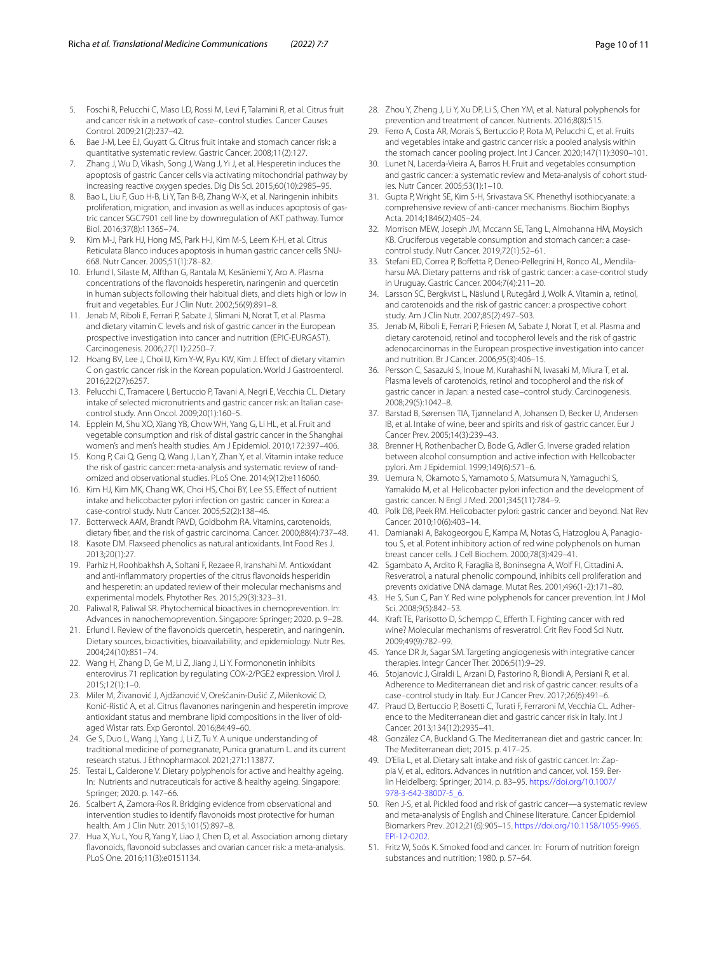- <span id="page-9-0"></span>5. Foschi R, Pelucchi C, Maso LD, Rossi M, Levi F, Talamini R, et al. Citrus fruit and cancer risk in a network of case–control studies. Cancer Causes Control. 2009;21(2):237–42.
- <span id="page-9-1"></span>6. Bae J-M, Lee EJ, Guyatt G. Citrus fruit intake and stomach cancer risk: a quantitative systematic review. Gastric Cancer. 2008;11(2):127.
- <span id="page-9-2"></span>7. Zhang J, Wu D, Vikash, Song J, Wang J, Yi J, et al. Hesperetin induces the apoptosis of gastric Cancer cells via activating mitochondrial pathway by increasing reactive oxygen species. Dig Dis Sci. 2015;60(10):2985–95.
- 8. Bao L, Liu F, Guo H-B, Li Y, Tan B-B, Zhang W-X, et al. Naringenin inhibits proliferation, migration, and invasion as well as induces apoptosis of gastric cancer SGC7901 cell line by downregulation of AKT pathway. Tumor Biol. 2016;37(8):11365–74.
- <span id="page-9-3"></span>9. Kim M-J, Park HJ, Hong MS, Park H-J, Kim M-S, Leem K-H, et al. Citrus Reticulata Blanco induces apoptosis in human gastric cancer cells SNU-668. Nutr Cancer. 2005;51(1):78–82.
- <span id="page-9-4"></span>10. Erlund I, Silaste M, Alfthan G, Rantala M, Kesäniemi Y, Aro A. Plasma concentrations of the favonoids hesperetin, naringenin and quercetin in human subjects following their habitual diets, and diets high or low in fruit and vegetables. Eur J Clin Nutr. 2002;56(9):891–8.
- <span id="page-9-5"></span>11. Jenab M, Riboli E, Ferrari P, Sabate J, Slimani N, Norat T, et al. Plasma and dietary vitamin C levels and risk of gastric cancer in the European prospective investigation into cancer and nutrition (EPIC-EURGAST). Carcinogenesis. 2006;27(11):2250–7.
- <span id="page-9-6"></span>12. Hoang BV, Lee J, Choi IJ, Kim Y-W, Ryu KW, Kim J. Efect of dietary vitamin C on gastric cancer risk in the Korean population. World J Gastroenterol. 2016;22(27):6257.
- <span id="page-9-7"></span>13. Pelucchi C, Tramacere I, Bertuccio P, Tavani A, Negri E, Vecchia CL. Dietary intake of selected micronutrients and gastric cancer risk: an Italian casecontrol study. Ann Oncol. 2009;20(1):160–5.
- <span id="page-9-8"></span>14. Epplein M, Shu XO, Xiang YB, Chow WH, Yang G, Li HL, et al. Fruit and vegetable consumption and risk of distal gastric cancer in the Shanghai women's and men's health studies. Am J Epidemiol. 2010;172:397–406.
- <span id="page-9-9"></span>15. Kong P, Cai Q, Geng Q, Wang J, Lan Y, Zhan Y, et al. Vitamin intake reduce the risk of gastric cancer: meta-analysis and systematic review of randomized and observational studies. PLoS One. 2014;9(12):e116060.
- 16. Kim HJ, Kim MK, Chang WK, Choi HS, Choi BY, Lee SS. Efect of nutrient intake and helicobacter pylori infection on gastric cancer in Korea: a case-control study. Nutr Cancer. 2005;52(2):138–46.
- <span id="page-9-10"></span>17. Botterweck AAM, Brandt PAVD, Goldbohm RA. Vitamins, carotenoids, dietary fber, and the risk of gastric carcinoma. Cancer. 2000;88(4):737–48.
- <span id="page-9-11"></span>18. Kasote DM. Flaxseed phenolics as natural antioxidants. Int Food Res J. 2013;20(1):27.
- 19. Parhiz H, Roohbakhsh A, Soltani F, Rezaee R, Iranshahi M. Antioxidant and anti-infammatory properties of the citrus favonoids hesperidin and hesperetin: an updated review of their molecular mechanisms and experimental models. Phytother Res. 2015;29(3):323–31.
- <span id="page-9-12"></span>20. Paliwal R, Paliwal SR. Phytochemical bioactives in chemoprevention. In: Advances in nanochemoprevention. Singapore: Springer; 2020. p. 9–28.
- <span id="page-9-13"></span>21. Erlund I. Review of the favonoids quercetin, hesperetin, and naringenin. Dietary sources, bioactivities, bioavailability, and epidemiology. Nutr Res. 2004;24(10):851–74.
- <span id="page-9-39"></span>22. Wang H, Zhang D, Ge M, Li Z, Jiang J, Li Y. Formononetin inhibits enterovirus 71 replication by regulating COX-2/PGE2 expression. Virol J. 2015;12(1):1–0.
- 23. Miler M, Živanović J, Ajdžanović V, Oreščanin-Dušić Z, Milenković D, Konić-Ristić A, et al. Citrus favanones naringenin and hesperetin improve antioxidant status and membrane lipid compositions in the liver of oldaged Wistar rats. Exp Gerontol. 2016;84:49–60.
- <span id="page-9-14"></span>24. Ge S, Duo L, Wang J, Yang J, Li Z, Tu Y. A unique understanding of traditional medicine of pomegranate, Punica granatum L. and its current research status. J Ethnopharmacol. 2021;271:113877.
- <span id="page-9-15"></span>25. Testai L, Calderone V. Dietary polyphenols for active and healthy ageing. In: Nutrients and nutraceuticals for active & healthy ageing. Singapore: Springer; 2020. p. 147–66.
- <span id="page-9-16"></span>26. Scalbert A, Zamora-Ros R. Bridging evidence from observational and intervention studies to identify favonoids most protective for human health. Am J Clin Nutr. 2015;101(5):897–8.
- <span id="page-9-17"></span>27. Hua X, Yu L, You R, Yang Y, Liao J, Chen D, et al. Association among dietary favonoids, favonoid subclasses and ovarian cancer risk: a meta-analysis. PLoS One. 2016;11(3):e0151134.
- <span id="page-9-18"></span>28. Zhou Y, Zheng J, Li Y, Xu DP, Li S, Chen YM, et al. Natural polyphenols for prevention and treatment of cancer. Nutrients. 2016;8(8):515.
- <span id="page-9-19"></span>29. Ferro A, Costa AR, Morais S, Bertuccio P, Rota M, Pelucchi C, et al. Fruits and vegetables intake and gastric cancer risk: a pooled analysis within the stomach cancer pooling project. Int J Cancer. 2020;147(11):3090–101.
- <span id="page-9-20"></span>30. Lunet N, Lacerda-Vieira A, Barros H. Fruit and vegetables consumption and gastric cancer: a systematic review and Meta-analysis of cohort studies. Nutr Cancer. 2005;53(1):1–10.
- <span id="page-9-21"></span>31. Gupta P, Wright SE, Kim S-H, Srivastava SK. Phenethyl isothiocyanate: a comprehensive review of anti-cancer mechanisms. Biochim Biophys Acta. 2014;1846(2):405–24.
- <span id="page-9-22"></span>32. Morrison MEW, Joseph JM, Mccann SE, Tang L, Almohanna HM, Moysich KB. Cruciferous vegetable consumption and stomach cancer: a casecontrol study. Nutr Cancer. 2019;72(1):52–61.
- <span id="page-9-23"></span>33. Stefani ED, Correa P, Boffetta P, Deneo-Pellegrini H, Ronco AL, Mendilaharsu MA. Dietary patterns and risk of gastric cancer: a case-control study in Uruguay. Gastric Cancer. 2004;7(4):211–20.
- <span id="page-9-24"></span>34. Larsson SC, Bergkvist L, Näslund I, Rutegård J, Wolk A. Vitamin a, retinol, and carotenoids and the risk of gastric cancer: a prospective cohort study. Am J Clin Nutr. 2007;85(2):497–503.
- <span id="page-9-25"></span>35. Jenab M, Riboli E, Ferrari P, Friesen M, Sabate J, Norat T, et al. Plasma and dietary carotenoid, retinol and tocopherol levels and the risk of gastric adenocarcinomas in the European prospective investigation into cancer and nutrition. Br J Cancer. 2006;95(3):406–15.
- <span id="page-9-26"></span>36. Persson C, Sasazuki S, Inoue M, Kurahashi N, Iwasaki M, Miura T, et al. Plasma levels of carotenoids, retinol and tocopherol and the risk of gastric cancer in Japan: a nested case–control study. Carcinogenesis. 2008;29(5):1042–8.
- <span id="page-9-27"></span>37. Barstad B, Sørensen TIA, Tjønneland A, Johansen D, Becker U, Andersen IB, et al. Intake of wine, beer and spirits and risk of gastric cancer. Eur J Cancer Prev. 2005;14(3):239–43.
- <span id="page-9-28"></span>38. Brenner H, Rothenbacher D, Bode G, Adler G. Inverse graded relation between alcohol consumption and active infection with Hellcobacter pylori. Am J Epidemiol. 1999;149(6):571–6.
- 39. Uemura N, Okamoto S, Yamamoto S, Matsumura N, Yamaguchi S, Yamakido M, et al. Helicobacter pylori infection and the development of gastric cancer. N Engl J Med. 2001;345(11):784–9.
- <span id="page-9-29"></span>40. Polk DB, Peek RM. Helicobacter pylori: gastric cancer and beyond. Nat Rev Cancer. 2010;10(6):403–14.
- <span id="page-9-30"></span>41. Damianaki A, Bakogeorgou E, Kampa M, Notas G, Hatzoglou A, Panagiotou S, et al. Potent inhibitory action of red wine polyphenols on human breast cancer cells. J Cell Biochem. 2000;78(3):429–41.
- 42. Sgambato A, Ardito R, Faraglia B, Boninsegna A, Wolf FI, Cittadini A. Resveratrol, a natural phenolic compound, inhibits cell proliferation and prevents oxidative DNA damage. Mutat Res. 2001;496(1-2):171–80.
- 43. He S, Sun C, Pan Y. Red wine polyphenols for cancer prevention. Int J Mol Sci. 2008;9(5):842–53.
- <span id="page-9-31"></span>44. Kraft TE, Parisotto D, Schempp C, Eferth T. Fighting cancer with red wine? Molecular mechanisms of resveratrol. Crit Rev Food Sci Nutr. 2009;49(9):782–99.
- <span id="page-9-32"></span>45. Yance DR Jr, Sagar SM. Targeting angiogenesis with integrative cancer therapies. Integr Cancer Ther. 2006;5(1):9–29.
- <span id="page-9-33"></span>46. Stojanovic J, Giraldi L, Arzani D, Pastorino R, Biondi A, Persiani R, et al. Adherence to Mediterranean diet and risk of gastric cancer: results of a case–control study in Italy. Eur J Cancer Prev. 2017;26(6):491–6.
- <span id="page-9-34"></span>47. Praud D, Bertuccio P, Bosetti C, Turati F, Ferraroni M, Vecchia CL. Adherence to the Mediterranean diet and gastric cancer risk in Italy. Int J Cancer. 2013;134(12):2935–41.
- <span id="page-9-35"></span>48. González CA, Buckland G. The Mediterranean diet and gastric cancer. In: The Mediterranean diet; 2015. p. 417–25.
- <span id="page-9-36"></span>49. D'Elia L, et al. Dietary salt intake and risk of gastric cancer. In: Zappia V, et al., editors. Advances in nutrition and cancer, vol. 159. Berlin Heidelberg: Springer; 2014. p. 83–95. [https://doi.org/10.1007/](https://doi.org/10.1007/978-3-642-38007-5_6) [978-3-642-38007-5\\_6.](https://doi.org/10.1007/978-3-642-38007-5_6)
- <span id="page-9-37"></span>50. Ren J-S, et al. Pickled food and risk of gastric cancer—a systematic review and meta-analysis of English and Chinese literature. Cancer Epidemiol Biomarkers Prev. 2012;21(6):905–15. [https://doi.org/10.1158/1055-9965.](https://doi.org/10.1158/1055-9965.EPI-12-0202) [EPI-12-0202.](https://doi.org/10.1158/1055-9965.EPI-12-0202)
- <span id="page-9-38"></span>51. Fritz W, Soós K. Smoked food and cancer. In: Forum of nutrition foreign substances and nutrition; 1980. p. 57–64.